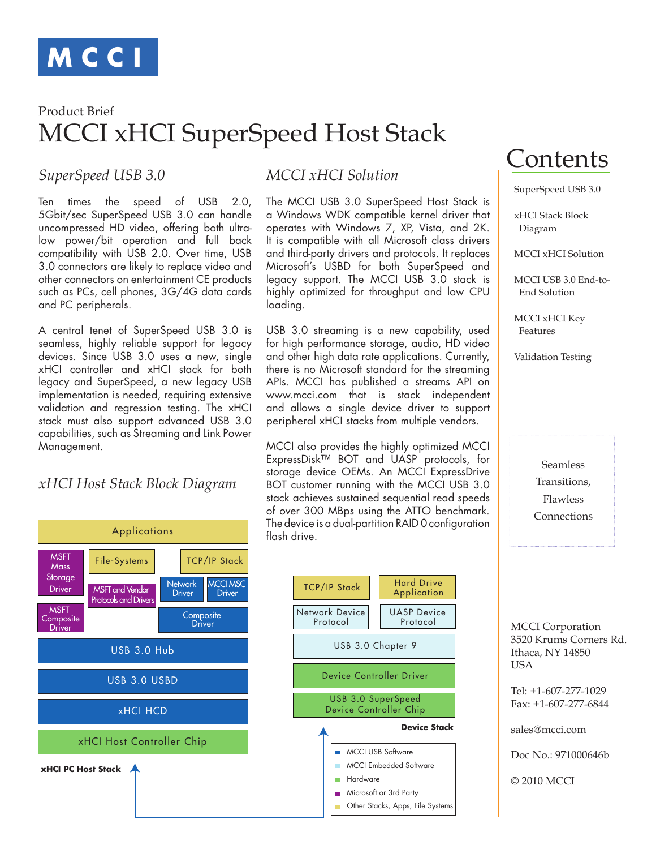

# MCCI xHCI SuperSpeed Host Stack Product Brief

### *SuperSpeed USB 3.0*

Ten times the speed of USB 2.0, 5Gbit/sec SuperSpeed USB 3.0 can handle uncompressed HD video, offering both ultralow power/bit operation and full back compatibility with USB 2.0. Over time, USB 3.0 connectors are likely to replace video and other connectors on entertainment CE products such as PCs, cell phones, 3G/4G data cards and PC peripherals.

A central tenet of SuperSpeed USB 3.0 is seamless, highly reliable support for legacy devices. Since USB 3.0 uses a new, single xHCI controller and xHCI stack for both legacy and SuperSpeed, a new legacy USB implementation is needed, requiring extensive validation and regression testing. The xHCI stack must also support advanced USB 3.0 capabilities, such as Streaming and Link Power Management.

#### *xHCI Host Stack Block Diagram*



### *MCCI xHCI Solution*

The MCCI USB 3.0 SuperSpeed Host Stack is a Windows WDK compatible kernel driver that operates with Windows 7, XP, Vista, and 2K. It is compatible with all Microsoft class drivers and third-party drivers and protocols. It replaces Microsoft's USBD for both SuperSpeed and legacy support. The MCCI USB 3.0 stack is highly optimized for throughput and low CPU loading.

USB 3.0 streaming is a new capability, used for high performance storage, audio, HD video and other high data rate applications. Currently, there is no Microsoft standard for the streaming APIs. MCCI has published a streams API on www.mcci.com that is stack independent and allows a single device driver to support peripheral xHCI stacks from multiple vendors.

MCCI also provides the highly optimized MCCI ExpressDisk™ BOT and UASP protocols, for storage device OEMs. An MCCI ExpressDrive BOT customer running with the MCCI USB 3.0 stack achieves sustained sequential read speeds of over 300 MBps using the ATTO benchmark. The device is a dual-partition RAID 0 configuration flash drive.



# Contents

SuperSpeed USB 3.0

xHCI Stack Block Diagram

MCCI xHCI Solution

MCCI USB 3.0 End-to-End Solution

MCCI xHCI Key Features

Validation Testing

Seamless Transitions, Flawless Connections

 MCCI Corporation 3520 Krums Corners Rd. Ithaca, NY 14850 **USA** 

 Tel: +1-607-277-1029 Fax: +1-607-277-6844

sales@mcci.com

Doc No.: 971000646b

© 2010 MCCI